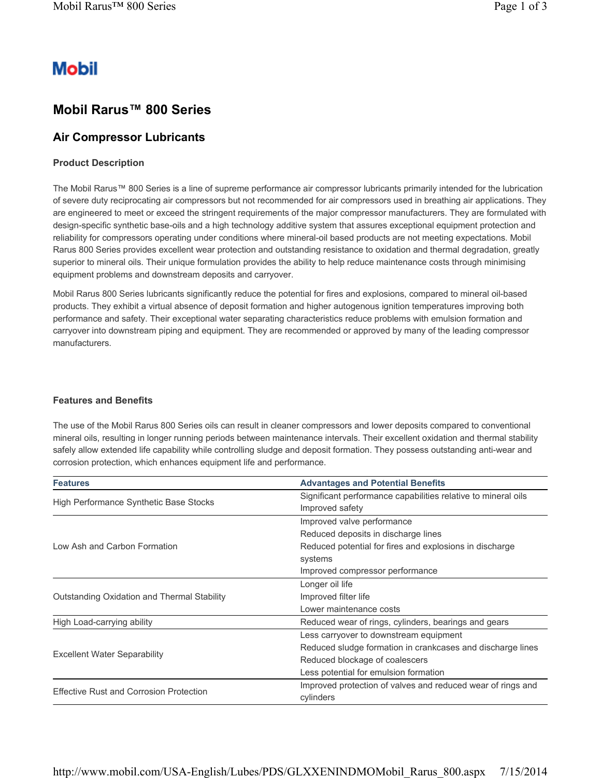# **Mobil**

## **Mobil Rarus™ 800 Series**

### **Air Compressor Lubricants**

#### **Product Description**

The Mobil Rarus™ 800 Series is a line of supreme performance air compressor lubricants primarily intended for the lubrication of severe duty reciprocating air compressors but not recommended for air compressors used in breathing air applications. They are engineered to meet or exceed the stringent requirements of the major compressor manufacturers. They are formulated with design-specific synthetic base-oils and a high technology additive system that assures exceptional equipment protection and reliability for compressors operating under conditions where mineral-oil based products are not meeting expectations. Mobil Rarus 800 Series provides excellent wear protection and outstanding resistance to oxidation and thermal degradation, greatly superior to mineral oils. Their unique formulation provides the ability to help reduce maintenance costs through minimising equipment problems and downstream deposits and carryover.

Mobil Rarus 800 Series lubricants significantly reduce the potential for fires and explosions, compared to mineral oil-based products. They exhibit a virtual absence of deposit formation and higher autogenous ignition temperatures improving both performance and safety. Their exceptional water separating characteristics reduce problems with emulsion formation and carryover into downstream piping and equipment. They are recommended or approved by many of the leading compressor manufacturers.

#### **Features and Benefits**

The use of the Mobil Rarus 800 Series oils can result in cleaner compressors and lower deposits compared to conventional mineral oils, resulting in longer running periods between maintenance intervals. Their excellent oxidation and thermal stability safely allow extended life capability while controlling sludge and deposit formation. They possess outstanding anti-wear and corrosion protection, which enhances equipment life and performance.

| <b>Features</b>                             | <b>Advantages and Potential Benefits</b>                                         |  |  |
|---------------------------------------------|----------------------------------------------------------------------------------|--|--|
| High Performance Synthetic Base Stocks      | Significant performance capabilities relative to mineral oils<br>Improved safety |  |  |
|                                             | Improved valve performance                                                       |  |  |
| Low Ash and Carbon Formation                | Reduced deposits in discharge lines                                              |  |  |
|                                             | Reduced potential for fires and explosions in discharge                          |  |  |
|                                             | systems                                                                          |  |  |
|                                             | Improved compressor performance                                                  |  |  |
| Outstanding Oxidation and Thermal Stability | Longer oil life                                                                  |  |  |
|                                             | Improved filter life                                                             |  |  |
|                                             | Lower maintenance costs                                                          |  |  |
| High Load-carrying ability                  | Reduced wear of rings, cylinders, bearings and gears                             |  |  |
| <b>Excellent Water Separability</b>         | Less carryover to downstream equipment                                           |  |  |
|                                             | Reduced sludge formation in crankcases and discharge lines                       |  |  |
|                                             | Reduced blockage of coalescers                                                   |  |  |
|                                             | Less potential for emulsion formation                                            |  |  |
| Effective Rust and Corrosion Protection     | Improved protection of valves and reduced wear of rings and<br>cylinders         |  |  |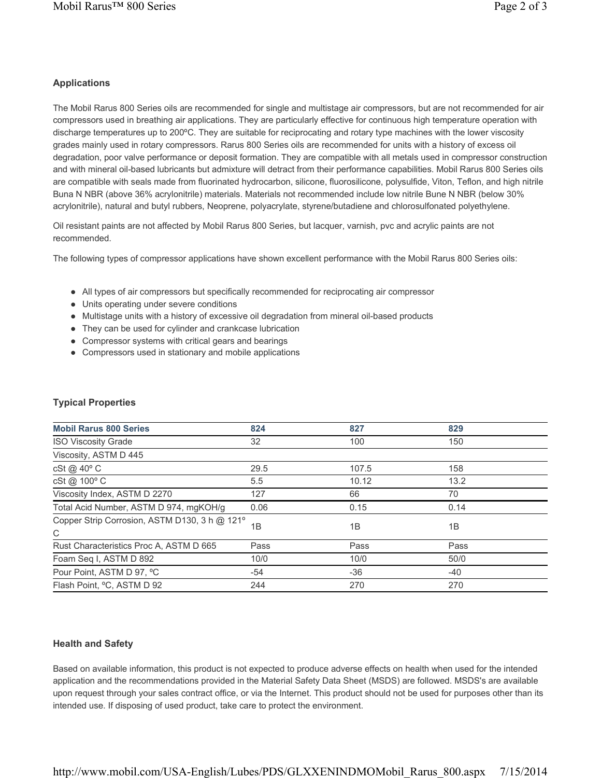#### **Applications**

The Mobil Rarus 800 Series oils are recommended for single and multistage air compressors, but are not recommended for air compressors used in breathing air applications. They are particularly effective for continuous high temperature operation with discharge temperatures up to 200ºC. They are suitable for reciprocating and rotary type machines with the lower viscosity grades mainly used in rotary compressors. Rarus 800 Series oils are recommended for units with a history of excess oil degradation, poor valve performance or deposit formation. They are compatible with all metals used in compressor construction and with mineral oil-based lubricants but admixture will detract from their performance capabilities. Mobil Rarus 800 Series oils are compatible with seals made from fluorinated hydrocarbon, silicone, fluorosilicone, polysulfide, Viton, Teflon, and high nitrile Buna N NBR (above 36% acrylonitrile) materials. Materials not recommended include low nitrile Bune N NBR (below 30% acrylonitrile), natural and butyl rubbers, Neoprene, polyacrylate, styrene/butadiene and chlorosulfonated polyethylene.

Oil resistant paints are not affected by Mobil Rarus 800 Series, but lacquer, varnish, pvc and acrylic paints are not recommended.

The following types of compressor applications have shown excellent performance with the Mobil Rarus 800 Series oils:

- All types of air compressors but specifically recommended for reciprocating air compressor
- Units operating under severe conditions
- Multistage units with a history of excessive oil degradation from mineral oil-based products
- They can be used for cylinder and crankcase lubrication
- Compressor systems with critical gears and bearings
- Compressors used in stationary and mobile applications

| <b>Mobil Rarus 800 Series</b>                      | 824   | 827   | 829  |
|----------------------------------------------------|-------|-------|------|
| <b>ISO Viscosity Grade</b>                         | 32    | 100   | 150  |
| Viscosity, ASTM D 445                              |       |       |      |
| cSt @ 40° C                                        | 29.5  | 107.5 | 158  |
| cSt @ 100° C                                       | 5.5   | 10.12 | 13.2 |
| Viscosity Index, ASTM D 2270                       | 127   | 66    | 70   |
| Total Acid Number, ASTM D 974, mgKOH/g             | 0.06  | 0.15  | 0.14 |
| Copper Strip Corrosion, ASTM D130, 3 h @ 121°<br>C | 1B    | 1B    | 1B   |
| Rust Characteristics Proc A, ASTM D 665            | Pass  | Pass  | Pass |
| Foam Seq I, ASTM D 892                             | 10/0  | 10/0  | 50/0 |
| Pour Point, ASTM D 97, °C                          | $-54$ | -36   | -40  |
| Flash Point, °C, ASTM D 92                         | 244   | 270   | 270  |

#### **Typical Properties**

#### **Health and Safety**

Based on available information, this product is not expected to produce adverse effects on health when used for the intended application and the recommendations provided in the Material Safety Data Sheet (MSDS) are followed. MSDS's are available upon request through your sales contract office, or via the Internet. This product should not be used for purposes other than its intended use. If disposing of used product, take care to protect the environment.